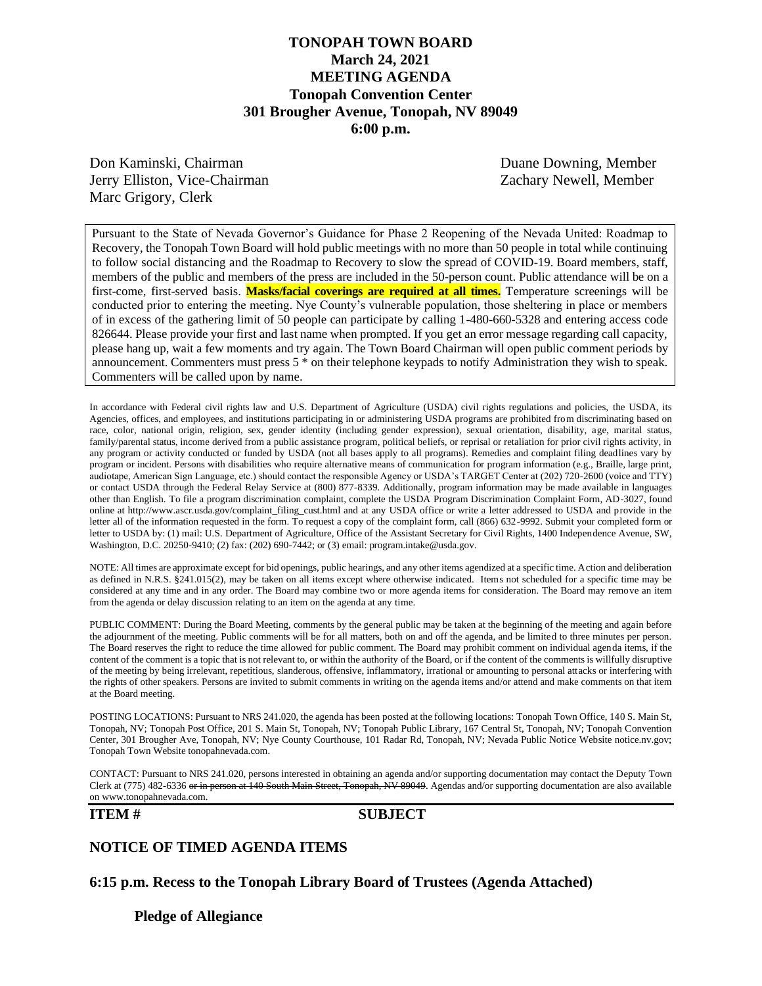## **TONOPAH TOWN BOARD March 24, 2021 MEETING AGENDA Tonopah Convention Center 301 Brougher Avenue, Tonopah, NV 89049 6:00 p.m.**

Don Kaminski, Chairman Duane Downing, Member Jerry Elliston, Vice-Chairman Zachary Newell, Member Marc Grigory, Clerk

Pursuant to the State of Nevada Governor's Guidance for Phase 2 Reopening of the Nevada United: Roadmap to Recovery, the Tonopah Town Board will hold public meetings with no more than 50 people in total while continuing to follow social distancing and the Roadmap to Recovery to slow the spread of COVID-19. Board members, staff, members of the public and members of the press are included in the 50-person count. Public attendance will be on a first-come, first-served basis. **Masks/facial coverings are required at all times.** Temperature screenings will be conducted prior to entering the meeting. Nye County's vulnerable population, those sheltering in place or members of in excess of the gathering limit of 50 people can participate by calling 1-480-660-5328 and entering access code 826644. Please provide your first and last name when prompted. If you get an error message regarding call capacity, please hang up, wait a few moments and try again. The Town Board Chairman will open public comment periods by announcement. Commenters must press 5 \* on their telephone keypads to notify Administration they wish to speak. Commenters will be called upon by name.

In accordance with Federal civil rights law and U.S. Department of Agriculture (USDA) civil rights regulations and policies, the USDA, its Agencies, offices, and employees, and institutions participating in or administering USDA programs are prohibited from discriminating based on race, color, national origin, religion, sex, gender identity (including gender expression), sexual orientation, disability, age, marital status, family/parental status, income derived from a public assistance program, political beliefs, or reprisal or retaliation for prior civil rights activity, in any program or activity conducted or funded by USDA (not all bases apply to all programs). Remedies and complaint filing deadlines vary by program or incident. Persons with disabilities who require alternative means of communication for program information (e.g., Braille, large print, audiotape, American Sign Language, etc.) should contact the responsible Agency or USDA's TARGET Center at (202) 720-2600 (voice and TTY) or contact USDA through the Federal Relay Service at (800) 877-8339. Additionally, program information may be made available in languages other than English. To file a program discrimination complaint, complete the USDA Program Discrimination Complaint Form, AD-3027, found online at http://www.ascr.usda.gov/complaint\_filing\_cust.html and at any USDA office or write a letter addressed to USDA and provide in the letter all of the information requested in the form. To request a copy of the complaint form, call (866) 632-9992. Submit your completed form or letter to USDA by: (1) mail: U.S. Department of Agriculture, Office of the Assistant Secretary for Civil Rights, 1400 Independence Avenue, SW, Washington, D.C. 20250-9410; (2) fax: (202) 690-7442; or (3) email: program.intake@usda.gov.

NOTE: All times are approximate except for bid openings, public hearings, and any other items agendized at a specific time. Action and deliberation as defined in N.R.S. §241.015(2), may be taken on all items except where otherwise indicated. Items not scheduled for a specific time may be considered at any time and in any order. The Board may combine two or more agenda items for consideration. The Board may remove an item from the agenda or delay discussion relating to an item on the agenda at any time.

PUBLIC COMMENT: During the Board Meeting, comments by the general public may be taken at the beginning of the meeting and again before the adjournment of the meeting. Public comments will be for all matters, both on and off the agenda, and be limited to three minutes per person. The Board reserves the right to reduce the time allowed for public comment. The Board may prohibit comment on individual agenda items, if the content of the comment is a topic that is not relevant to, or within the authority of the Board, or if the content of the comments is willfully disruptive of the meeting by being irrelevant, repetitious, slanderous, offensive, inflammatory, irrational or amounting to personal attacks or interfering with the rights of other speakers. Persons are invited to submit comments in writing on the agenda items and/or attend and make comments on that item at the Board meeting.

POSTING LOCATIONS: Pursuant to NRS 241.020, the agenda has been posted at the following locations: Tonopah Town Office, 140 S. Main St, Tonopah, NV; Tonopah Post Office, 201 S. Main St, Tonopah, NV; Tonopah Public Library, 167 Central St, Tonopah, NV; Tonopah Convention Center, 301 Brougher Ave, Tonopah, NV; Nye County Courthouse, 101 Radar Rd, Tonopah, NV; Nevada Public Notice Website notice.nv.gov; Tonopah Town Website tonopahnevada.com.

CONTACT: Pursuant to NRS 241.020, persons interested in obtaining an agenda and/or supporting documentation may contact the Deputy Town Clerk at (775) 482-6336 or in person at 140 South Main Street, Tonopah, NV 89049. Agendas and/or supporting documentation are also available on www.tonopahnevada.com.

#### **ITEM # SUBJECT**

#### **NOTICE OF TIMED AGENDA ITEMS**

**6:15 p.m. Recess to the Tonopah Library Board of Trustees (Agenda Attached)**

**Pledge of Allegiance**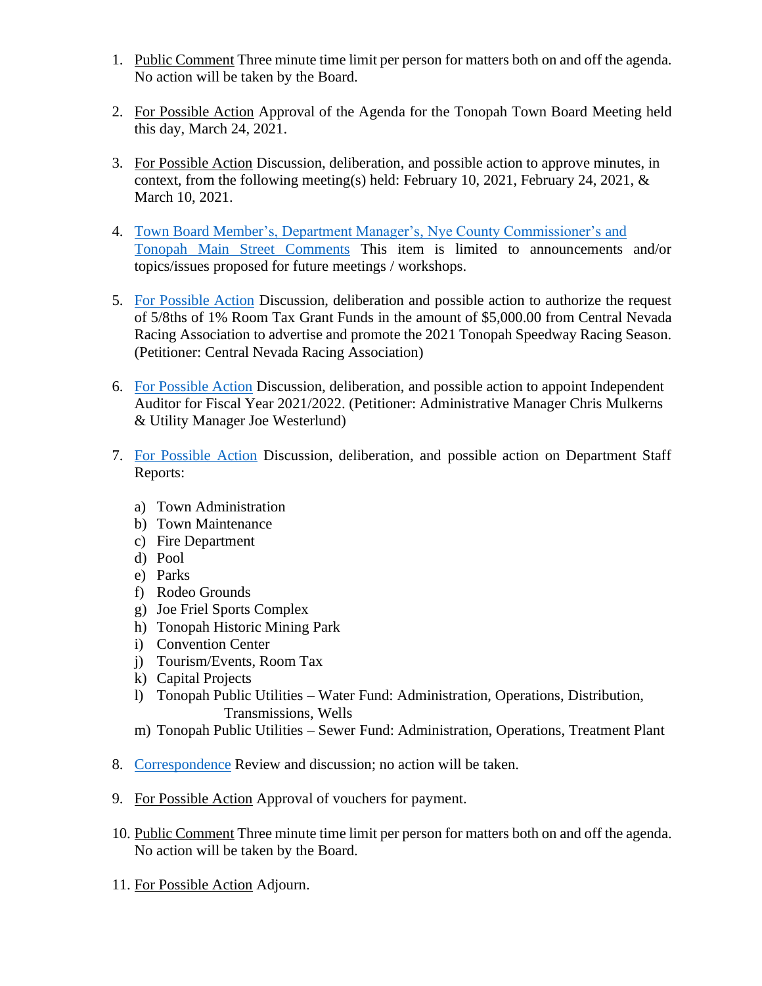- 1. Public Comment Three minute time limit per person for matters both on and off the agenda. No action will be taken by the Board.
- 2. For Possible Action Approval of the Agenda for the Tonopah Town Board Meeting held this day, March 24, 2021.
- 3. For Possible Action Discussion, deliberation, and possible action to approve minutes, in context, from the following meeting(s) held: February 10, 2021, February 24, 2021,  $\&$ March 10, 2021.
- 4. [Town Board Member's, Department Manager's, Nye County Commissioner's](https://www.tonopahnevada.com/agendas/backup-2021/3-24-2021-item-4.pdf) and [Tonopah Main Street](https://www.tonopahnevada.com/agendas/backup-2021/3-24-2021-item-4.pdf) Comments This item is limited to announcements and/or topics/issues proposed for future meetings / workshops.
- 5. [For Possible Action](https://www.tonopahnevada.com/agendas/backup-2021/3-24-2021-item-5.pdf) Discussion, deliberation and possible action to authorize the request of 5/8ths of 1% Room Tax Grant Funds in the amount of \$5,000.00 from Central Nevada Racing Association to advertise and promote the 2021 Tonopah Speedway Racing Season. (Petitioner: Central Nevada Racing Association)
- 6. [For Possible Action](https://www.tonopahnevada.com/agendas/backup-2021/3-24-2021-item-6.pdf) Discussion, deliberation, and possible action to appoint Independent Auditor for Fiscal Year 2021/2022. (Petitioner: Administrative Manager Chris Mulkerns & Utility Manager Joe Westerlund)
- 7. [For Possible Action](https://www.tonopahnevada.com/agendas/backup-2021/3-24-2021-staffreports.pdf) Discussion, deliberation, and possible action on Department Staff Reports:
	- a) Town Administration
	- b) Town Maintenance
	- c) Fire Department
	- d) Pool
	- e) Parks
	- f) Rodeo Grounds
	- g) Joe Friel Sports Complex
	- h) Tonopah Historic Mining Park
	- i) Convention Center
	- j) Tourism/Events, Room Tax
	- k) Capital Projects
	- l) Tonopah Public Utilities Water Fund: Administration, Operations, Distribution, Transmissions, Wells
	- m) Tonopah Public Utilities Sewer Fund: Administration, Operations, Treatment Plant
- 8. [Correspondence](https://www.tonopahnevada.com/agendas/backup-2021/3-24-2021-correspondence.pdf) Review and discussion; no action will be taken.
- 9. For Possible Action Approval of vouchers for payment.
- 10. Public Comment Three minute time limit per person for matters both on and off the agenda. No action will be taken by the Board.
- 11. For Possible Action Adjourn.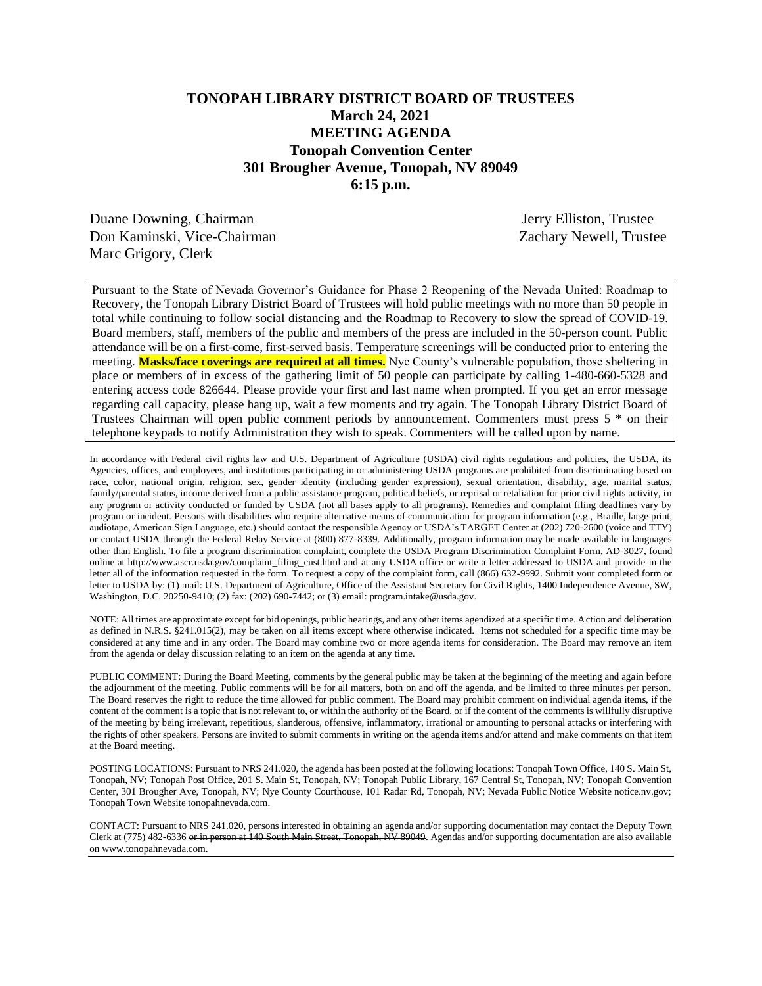## **TONOPAH LIBRARY DISTRICT BOARD OF TRUSTEES March 24, 2021 MEETING AGENDA Tonopah Convention Center 301 Brougher Avenue, Tonopah, NV 89049 6:15 p.m.**

Duane Downing, Chairman Jerry Elliston, Trustee Don Kaminski, Vice-Chairman Zachary Newell, Trustee Marc Grigory, Clerk

Pursuant to the State of Nevada Governor's Guidance for Phase 2 Reopening of the Nevada United: Roadmap to Recovery, the Tonopah Library District Board of Trustees will hold public meetings with no more than 50 people in total while continuing to follow social distancing and the Roadmap to Recovery to slow the spread of COVID-19. Board members, staff, members of the public and members of the press are included in the 50-person count. Public attendance will be on a first-come, first-served basis. Temperature screenings will be conducted prior to entering the meeting. **Masks/face coverings are required at all times.** Nye County's vulnerable population, those sheltering in place or members of in excess of the gathering limit of 50 people can participate by calling 1-480-660-5328 and entering access code 826644. Please provide your first and last name when prompted. If you get an error message regarding call capacity, please hang up, wait a few moments and try again. The Tonopah Library District Board of Trustees Chairman will open public comment periods by announcement. Commenters must press 5 \* on their telephone keypads to notify Administration they wish to speak. Commenters will be called upon by name.

In accordance with Federal civil rights law and U.S. Department of Agriculture (USDA) civil rights regulations and policies, the USDA, its Agencies, offices, and employees, and institutions participating in or administering USDA programs are prohibited from discriminating based on race, color, national origin, religion, sex, gender identity (including gender expression), sexual orientation, disability, age, marital status, family/parental status, income derived from a public assistance program, political beliefs, or reprisal or retaliation for prior civil rights activity, in any program or activity conducted or funded by USDA (not all bases apply to all programs). Remedies and complaint filing deadlines vary by program or incident. Persons with disabilities who require alternative means of communication for program information (e.g., Braille, large print, audiotape, American Sign Language, etc.) should contact the responsible Agency or USDA's TARGET Center at (202) 720-2600 (voice and TTY) or contact USDA through the Federal Relay Service at (800) 877-8339. Additionally, program information may be made available in languages other than English. To file a program discrimination complaint, complete the USDA Program Discrimination Complaint Form, AD-3027, found online at http://www.ascr.usda.gov/complaint\_filing\_cust.html and at any USDA office or write a letter addressed to USDA and provide in the letter all of the information requested in the form. To request a copy of the complaint form, call (866) 632-9992. Submit your completed form or letter to USDA by: (1) mail: U.S. Department of Agriculture, Office of the Assistant Secretary for Civil Rights, 1400 Independence Avenue, SW, Washington, D.C. 20250-9410; (2) fax: (202) 690-7442; or (3) email: program.intake@usda.gov.

NOTE: All times are approximate except for bid openings, public hearings, and any other items agendized at a specific time. Action and deliberation as defined in N.R.S. §241.015(2), may be taken on all items except where otherwise indicated. Items not scheduled for a specific time may be considered at any time and in any order. The Board may combine two or more agenda items for consideration. The Board may remove an item from the agenda or delay discussion relating to an item on the agenda at any time.

PUBLIC COMMENT: During the Board Meeting, comments by the general public may be taken at the beginning of the meeting and again before the adjournment of the meeting. Public comments will be for all matters, both on and off the agenda, and be limited to three minutes per person. The Board reserves the right to reduce the time allowed for public comment. The Board may prohibit comment on individual agenda items, if the content of the comment is a topic that is not relevant to, or within the authority of the Board, or if the content of the comments is willfully disruptive of the meeting by being irrelevant, repetitious, slanderous, offensive, inflammatory, irrational or amounting to personal attacks or interfering with the rights of other speakers. Persons are invited to submit comments in writing on the agenda items and/or attend and make comments on that item at the Board meeting.

POSTING LOCATIONS: Pursuant to NRS 241.020, the agenda has been posted at the following locations: Tonopah Town Office, 140 S. Main St, Tonopah, NV; Tonopah Post Office, 201 S. Main St, Tonopah, NV; Tonopah Public Library, 167 Central St, Tonopah, NV; Tonopah Convention Center, 301 Brougher Ave, Tonopah, NV; Nye County Courthouse, 101 Radar Rd, Tonopah, NV; Nevada Public Notice Website notice.nv.gov; Tonopah Town Website tonopahnevada.com.

CONTACT: Pursuant to NRS 241.020, persons interested in obtaining an agenda and/or supporting documentation may contact the Deputy Town Clerk at (775) 482-6336 or in person at 140 South Main Street, Tonopah, NV 89049. Agendas and/or supporting documentation are also available on www.tonopahnevada.com.